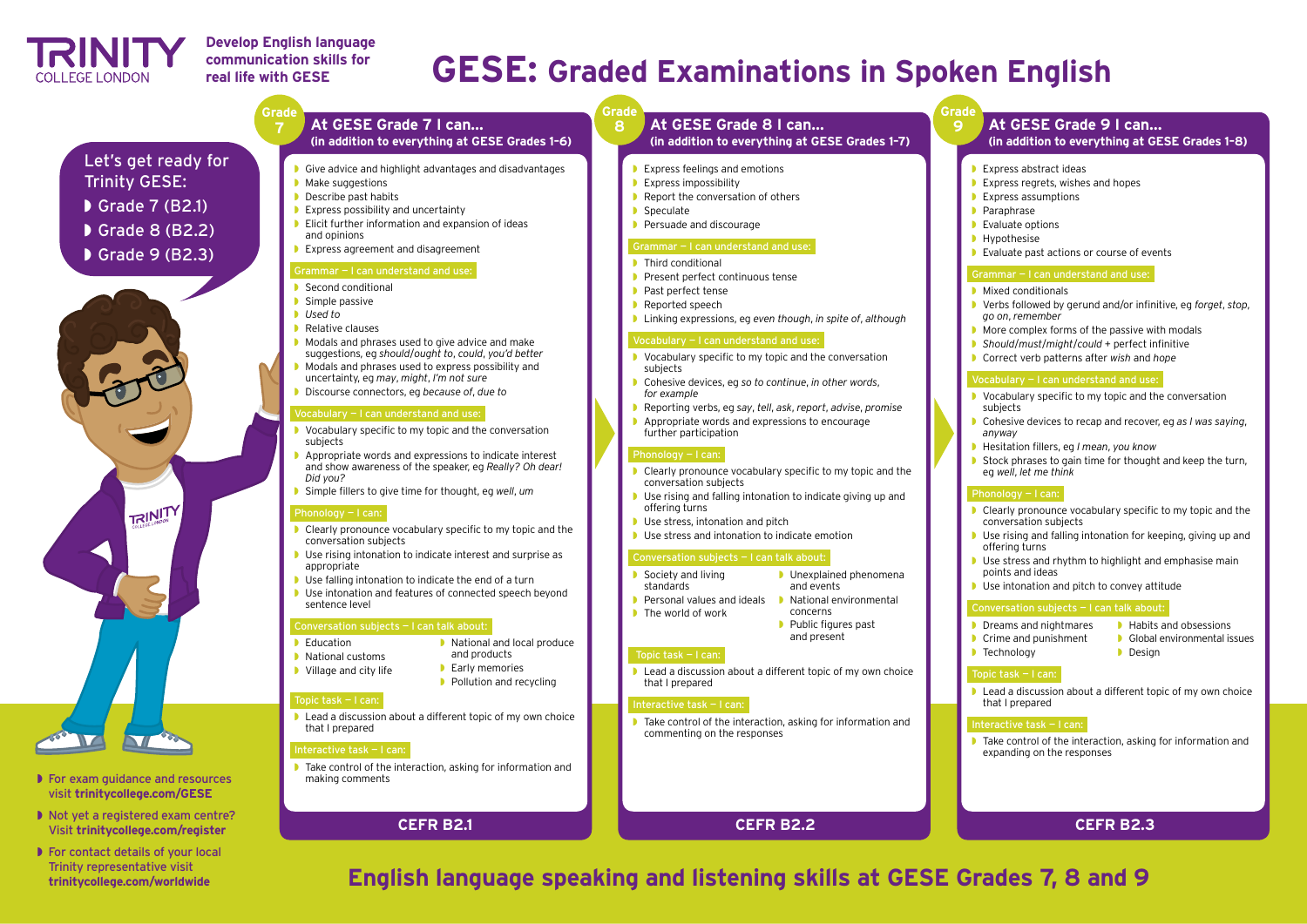# **GESE: Graded Examinations in Spoken English**

# **English language speaking and listening skills at GESE Grades 7, 8 and 9**

**Grade 9**

- Express abstract ideas
- Express regrets, wishes and hopes
- **Express assumptions**
- **Paraphrase**
- **▶ Evaluate options**
- ◗ Hypothesise
- ◗ Evaluate past actions or course of events

- **▶ Mixed conditionals**
- ◗ Verbs followed by gerund and/or infinitive, eg *forget*, *stop*, *go on*, *remember*
- ◗ More complex forms of the passive with modals
- ◗ *Should*/*must*/*might*/*could* + perfect infinitive
- ◗ Correct verb patterns after *wish* and *hope*

#### Grammar — I can understand and use:

#### Vocabulary — I can understand and use:

- **▶ Dreams and nightmares**
- **▶ Crime and punishment**
- **■** Habits and obsessions
- ◗ Global environmental issues
	- ◗ Design

■ Lead a discussion about a different topic of my own choice that I prepared

- ◗ Vocabulary specific to my topic and the conversation subjects
- ◗ Cohesive devices to recap and recover, eg *as I was saying*, *anyway*
- ◗ Hesitation fillers, eg *I mean*, *you know*
- Stock phrases to gain time for thought and keep the turn, eg *well*, *let me think*

### Phonology — I can:

- ◗ Clearly pronounce vocabulary specific to my topic and the conversation subjects
- Use rising and falling intonation for keeping, giving up and offering turns
- Use stress and rhythm to highlight and emphasise main points and ideas
- ◗ Use intonation and pitch to convey attitude

### Conversation subjects — I can talk about:

◗ Technology

#### Topic task — I can:

#### Interactive task — I can:

◗ Take control of the interaction, asking for information and expanding on the responses

# **At GESE Grade 9 I can…**

- 
- **■** Unexplained phenomena and events
- **▶ National environmental** concerns
- **▶ Public figures past** and present

■ Lead a discussion about a different topic of my own choice

**(in addition to everything at GESE Grades 1–8)**

# **CEFR B2.3**

Let's get ready for Trinity GESE:

- ◗ Grade 7 (B2.1)
- 
- ◗ Grade 8 (B2.2)
- ◗ Grade 9 (B2.3)



- ◗ For exam guidance and resources visit **trinitycollege.com/GESE**
- ◗ Not yet a registered exam centre? Visit **trinitycollege.com/register**
- For contact details of your local Trinity representative visit **trinitycollege.com/worldwide**

### **8 At GESE Grade 8 I can… (in addition to everything at GESE Grades 1–7)**

**Express feelings and emotions ■** Report the conversation of others

**▶ Persuade and discourage** 

# **CEFR B2.2**

#### Grammar — I can understand and use:

- **▶ Present perfect continuous tense** 
	-
	-

◗ Linking expressions, eg *even though*, *in spite of*, *although*

#### Vocabulary — I can understand and use:

◗ Vocabulary specific to my topic and the conversation

◗ Cohesive devices, eg *so to continue*, *in other words*,

◗ Reporting verbs, eg *say*, *tell*, *ask*, *report*, *advise*, *promise* ◗ Appropriate words and expressions to encourage further participation

- Clearly pronounce vocabulary specific to my topic and the conversation subjects
- ◗ Use rising and falling intonation to indicate giving up and
- **■** Use stress, intonation and pitch

**■** Use stress and intonation to indicate emotion

#### Conversation subjects — I can talk about:

### Interactive task — I can:

◗ Take control of the interaction, asking for information and commenting on the responses



## **Develop English language communication skills for real life with GESE**

**Grade**

#### **Grade** ◗ Express impossibility ■ Speculate **▶ Third conditional** ◗ Past perfect tense **▶ Reported speech** subjects *for example*  Phonology — I can: offering turns Society and living standards **▶ Personal values and ideals** ■ The world of work Topic task — I can: **7 At GESE Grade 7 I can… (in addition to everything at GESE Grades 1–6)** ◗ Give advice and highlight advantages and disadvantages ■ Make suggestions ◗ Describe past habits ■ Express possibility and uncertainty ◗ Elicit further information and expansion of ideas and opinions ◗ Express agreement and disagreement Grammar — I can understand and use: **▶ Second conditional** ◗ Simple passive ◗ *Used to*  **▶ Relative clauses** ◗ Modals and phrases used to give advice and make suggestions, eg *should*/*ought to*, *could*, *you'd better* ◗ Modals and phrases used to express possibility and uncertainty, eg *may*, *might*, *I'm not sure* ◗ Discourse connectors, eg *because of*, *due to* Vocabulary — I can understand and use: ◗ Vocabulary specific to my topic and the conversation subjects ◗ Appropriate words and expressions to indicate interest and show awareness of the speaker, eg *Really? Oh dear! Did you?* ◗ Simple fillers to give time for thought, eg *well*, *um*  Phonology — I can: ◗ Clearly pronounce vocabulary specific to my topic and the conversation subjects **Use rising intonation to indicate interest and surprise as** appropriate **If** Use falling intonation to indicate the end of a turn ◗ Use intonation and features of connected speech beyond sentence level Conversation subjects — I can talk about: ■ Education ◗ National customs ■ Village and city life ■ National and local produce and products **▶ Early memories ▶ Pollution and recycling** Topic task — I can: ■ Lead a discussion about a different topic of my own choice that I prepared making comments **CEFR B2.1**

- ◗ Take control of the interaction, asking for information and
- that I prepared

#### Interactive task — I can: